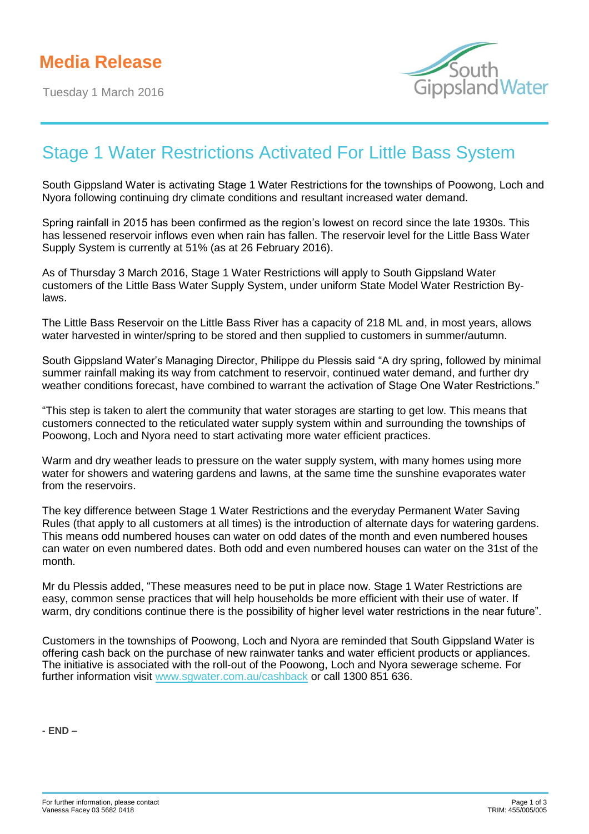Tuesday 1 March 2016



## Stage 1 Water Restrictions Activated For Little Bass System

South Gippsland Water is activating Stage 1 Water Restrictions for the townships of Poowong, Loch and Nyora following continuing dry climate conditions and resultant increased water demand.

Spring rainfall in 2015 has been confirmed as the region's lowest on record since the late 1930s. This has lessened reservoir inflows even when rain has fallen. The reservoir level for the Little Bass Water Supply System is currently at 51% (as at 26 February 2016).

As of Thursday 3 March 2016, Stage 1 Water Restrictions will apply to South Gippsland Water customers of the Little Bass Water Supply System, under uniform State Model Water Restriction Bylaws.

The Little Bass Reservoir on the Little Bass River has a capacity of 218 ML and, in most years, allows water harvested in winter/spring to be stored and then supplied to customers in summer/autumn.

South Gippsland Water's Managing Director, Philippe du Plessis said "A dry spring, followed by minimal summer rainfall making its way from catchment to reservoir, continued water demand, and further dry weather conditions forecast, have combined to warrant the activation of Stage One Water Restrictions."

"This step is taken to alert the community that water storages are starting to get low. This means that customers connected to the reticulated water supply system within and surrounding the townships of Poowong, Loch and Nyora need to start activating more water efficient practices.

Warm and dry weather leads to pressure on the water supply system, with many homes using more water for showers and watering gardens and lawns, at the same time the sunshine evaporates water from the reservoirs.

The key difference between Stage 1 Water Restrictions and the everyday Permanent Water Saving Rules (that apply to all customers at all times) is the introduction of alternate days for watering gardens. This means odd numbered houses can water on odd dates of the month and even numbered houses can water on even numbered dates. Both odd and even numbered houses can water on the 31st of the month.

Mr du Plessis added, "These measures need to be put in place now. Stage 1 Water Restrictions are easy, common sense practices that will help households be more efficient with their use of water. If warm, dry conditions continue there is the possibility of higher level water restrictions in the near future".

Customers in the townships of Poowong, Loch and Nyora are reminded that South Gippsland Water is offering cash back on the purchase of new rainwater tanks and water efficient products or appliances. The initiative is associated with the roll-out of the Poowong, Loch and Nyora sewerage scheme. For further information visit [www.sgwater.com.au/cashback](http://www.sgwater.com.au/cashback) or call 1300 851 636.

**- END –**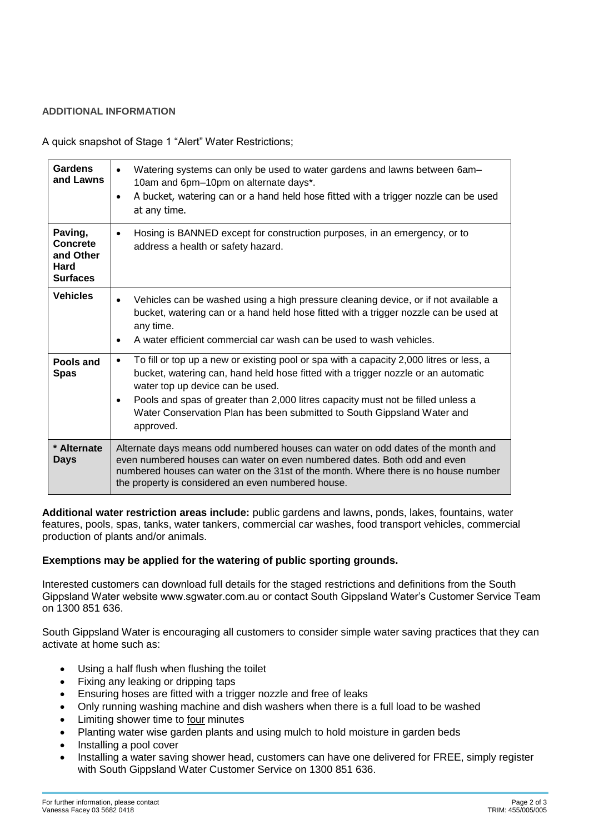## **ADDITIONAL INFORMATION**

A quick snapshot of Stage 1 "Alert" Water Restrictions;

| <b>Gardens</b><br>and Lawns                                        | Watering systems can only be used to water gardens and lawns between 6am-<br>10am and 6pm-10pm on alternate days*.<br>A bucket, watering can or a hand held hose fitted with a trigger nozzle can be used<br>$\bullet$<br>at any time.                                                                                                                                                                                 |
|--------------------------------------------------------------------|------------------------------------------------------------------------------------------------------------------------------------------------------------------------------------------------------------------------------------------------------------------------------------------------------------------------------------------------------------------------------------------------------------------------|
| Paving,<br><b>Concrete</b><br>and Other<br>Hard<br><b>Surfaces</b> | Hosing is BANNED except for construction purposes, in an emergency, or to<br>$\bullet$<br>address a health or safety hazard.                                                                                                                                                                                                                                                                                           |
| <b>Vehicles</b>                                                    | Vehicles can be washed using a high pressure cleaning device, or if not available a<br>$\bullet$<br>bucket, watering can or a hand held hose fitted with a trigger nozzle can be used at<br>any time.<br>A water efficient commercial car wash can be used to wash vehicles.<br>$\bullet$                                                                                                                              |
| Pools and<br><b>Spas</b>                                           | To fill or top up a new or existing pool or spa with a capacity 2,000 litres or less, a<br>$\bullet$<br>bucket, watering can, hand held hose fitted with a trigger nozzle or an automatic<br>water top up device can be used.<br>Pools and spas of greater than 2,000 litres capacity must not be filled unless a<br>$\bullet$<br>Water Conservation Plan has been submitted to South Gippsland Water and<br>approved. |
| * Alternate<br><b>Days</b>                                         | Alternate days means odd numbered houses can water on odd dates of the month and<br>even numbered houses can water on even numbered dates. Both odd and even<br>numbered houses can water on the 31st of the month. Where there is no house number<br>the property is considered an even numbered house.                                                                                                               |

**Additional water restriction areas include:** public gardens and lawns, ponds, lakes, fountains, water features, pools, spas, tanks, water tankers, commercial car washes, food transport vehicles, commercial production of plants and/or animals.

## **Exemptions may be applied for the watering of public sporting grounds.**

Interested customers can download full details for the staged restrictions and definitions from the South Gippsland Water website www.sgwater.com.au or contact South Gippsland Water's Customer Service Team on 1300 851 636.

South Gippsland Water is encouraging all customers to consider simple water saving practices that they can activate at home such as:

- Using a half flush when flushing the toilet
- Fixing any leaking or dripping taps
- Ensuring hoses are fitted with a trigger nozzle and free of leaks
- Only running washing machine and dish washers when there is a full load to be washed
- Limiting shower time to four minutes
- Planting water wise garden plants and using mulch to hold moisture in garden beds
- Installing a pool cover
- Installing a water saving shower head, customers can have one delivered for FREE, simply register with South Gippsland Water Customer Service on 1300 851 636.